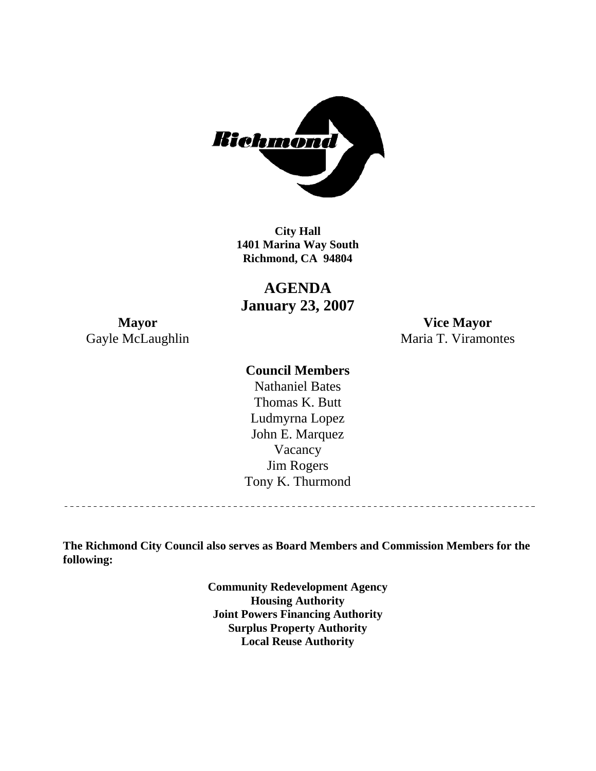

**1401 Marina Way South City Hall Richmond, CA 94804** 

**AGENDA January 23, 2007** 

**Mayor Vice Mayor**  Gayle McLaughlin Maria T. Viramontes

### **Council Members**

Thomas K. Butt Vacancy Jim Rogers Tony K. Thurmond Nathaniel Bates Ludmyrna Lopez John E. Marquez

<u>\_\_\_\_\_\_\_\_\_\_\_\_\_\_\_\_\_\_\_\_\_\_\_\_\_\_\_\_\_\_\_</u>

**The Richmond City Council also serves as Board Members and Commission Members for the following:** 

> **Community Redevelopment Agency Housing Authority Joint Powers Financing Authority Surplus Property Authority Local Reuse Authority**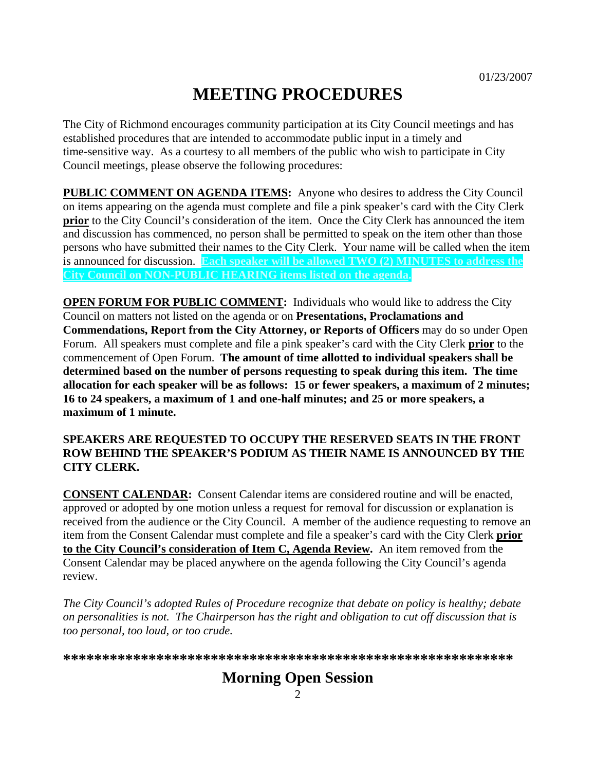# **MEETING PROCEDURES**

The City of Richmond encourages community participation at its City Council meetings and has established procedures that are intended to accommodate public input in a timely and time-sensitive way. As a courtesy to all members of the public who wish to participate in City Council meetings, please observe the following procedures:

**PUBLIC COMMENT ON AGENDA ITEMS:** Anyone who desires to address the City Council on items appearing on the agenda must complete and file a pink speaker's card with the City Clerk **prior** to the City Council's consideration of the item. Once the City Clerk has announced the item and discussion has commenced, no person shall be permitted to speak on the item other than those persons who have submitted their names to the City Clerk. Your name will be called when the item is announced for discussion. **Each speaker will be allowed TWO (2) MINUTES to address the City Council on NON-PUBLIC HEARING items listed on the agenda.** 

**OPEN FORUM FOR PUBLIC COMMENT:** Individuals who would like to address the City Council on matters not listed on the agenda or on **Presentations, Proclamations and Commendations, Report from the City Attorney, or Reports of Officers** may do so under Open Forum. All speakers must complete and file a pink speaker's card with the City Clerk **prior** to the commencement of Open Forum. **The amount of time allotted to individual speakers shall be determined based on the number of persons requesting to speak during this item. The time allocation for each speaker will be as follows: 15 or fewer speakers, a maximum of 2 minutes; 16 to 24 speakers, a maximum of 1 and one-half minutes; and 25 or more speakers, a maximum of 1 minute.** 

#### **SPEAKERS ARE REQUESTED TO OCCUPY THE RESERVED SEATS IN THE FRONT ROW BEHIND THE SPEAKER'S PODIUM AS THEIR NAME IS ANNOUNCED BY THE CITY CLERK.**

**CONSENT CALENDAR:** Consent Calendar items are considered routine and will be enacted, approved or adopted by one motion unless a request for removal for discussion or explanation is received from the audience or the City Council. A member of the audience requesting to remove an item from the Consent Calendar must complete and file a speaker's card with the City Clerk **prior to the City Council's consideration of Item C, Agenda Review.** An item removed from the Consent Calendar may be placed anywhere on the agenda following the City Council's agenda review.

*The City Council's adopted Rules of Procedure recognize that debate on policy is healthy; debate on personalities is not. The Chairperson has the right and obligation to cut off discussion that is too personal, too loud, or too crude.* 

**\*\*\*\*\*\*\*\*\*\*\*\*\*\*\*\*\*\*\*\*\*\*\*\*\*\*\*\*\*\*\*\*\*\*\*\*\*\*\*\*\*\*\*\*\*\*\*\*\*\*\*\*\*\*\*\*\*\***

# **Morning Open Session**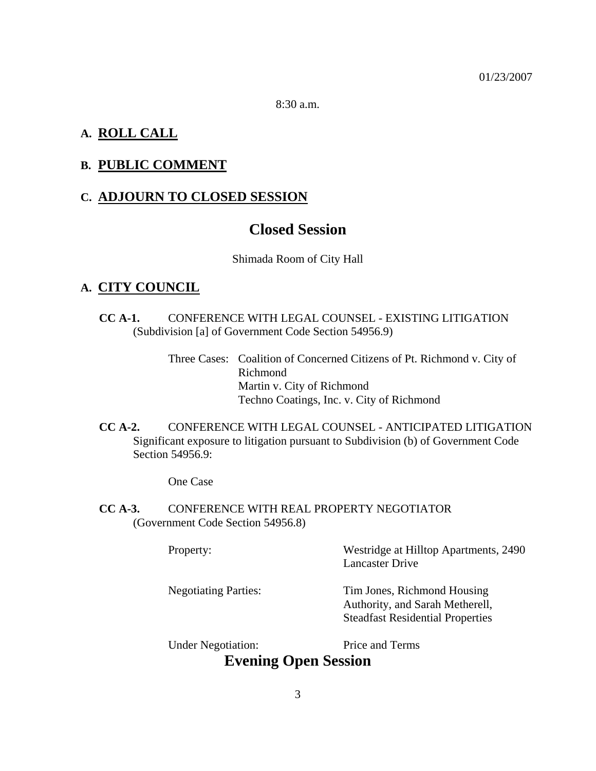8:30 a.m.

### **A. ROLL CALL**

### **B. PUBLIC COMMENT**

### **C. ADJOURN TO CLOSED SESSION**

# **Closed Session**

#### Shimada Room of City Hall

### **A. CITY COUNCIL**

- **CC A-1.** CONFERENCE WITH LEGAL COUNSEL EXISTING LITIGATION (Subdivision [a] of Government Code Section 54956.9)
	- Three Cases: Coalition of Concerned Citizens of Pt. Richmond v. City of Richmond Martin v. City of Richmond Techno Coatings, Inc. v. City of Richmond
- **CC A-2.** CONFERENCE WITH LEGAL COUNSEL ANTICIPATED LITIGATION Significant exposure to litigation pursuant to Subdivision (b) of Government Code Section 54956.9:

One Case

**CC A-3.** CONFERENCE WITH REAL PROPERTY NEGOTIATOR (Government Code Section 54956.8)

| Property:                   | Westridge at Hilltop Apartments, 2490<br><b>Lancaster Drive</b>                                           |
|-----------------------------|-----------------------------------------------------------------------------------------------------------|
| <b>Negotiating Parties:</b> | Tim Jones, Richmond Housing<br>Authority, and Sarah Metherell,<br><b>Steadfast Residential Properties</b> |

Under Negotiation: Price and Terms

# **Evening Open Session**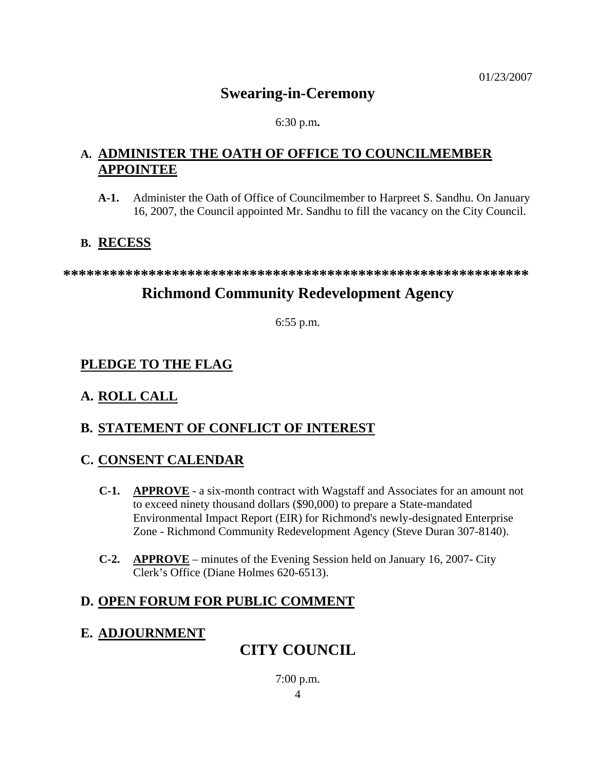# **Swearing-in-Ceremony**

#### 6:30 p.m**.**

## **A. ADMINISTER THE OATH OF OFFICE TO COUNCILMEMBER APPOINTEE**

**A-1.** Administer the Oath of Office of Councilmember to Harpreet S. Sandhu. On January 16, 2007, the Council appointed Mr. Sandhu to fill the vacancy on the City Council.

## **B. RECESS**

**\*\*\*\*\*\*\*\*\*\*\*\*\*\*\*\*\*\*\*\*\*\*\*\*\*\*\*\*\*\*\*\*\*\*\*\*\*\*\*\*\*\*\*\*\*\*\*\*\*\*\*\*\*\*\*\*\*\*\*\*** 

# **Richmond Community Redevelopment Agency**

6:55 p.m.

# **PLEDGE TO THE FLAG**

# **A. ROLL CALL**

# **B. STATEMENT OF CONFLICT OF INTEREST**

## **C. CONSENT CALENDAR**

- **C-1. APPROVE** a six-month contract with Wagstaff and Associates for an amount not to exceed ninety thousand dollars (\$90,000) to prepare a State-mandated Environmental Impact Report (EIR) for Richmond's newly-designated Enterprise Zone - Richmond Community Redevelopment Agency (Steve Duran 307-8140).
- **C-2. APPROVE** minutes of the Evening Session held on January 16, 2007- City Clerk's Office (Diane Holmes 620-6513).

# **D. OPEN FORUM FOR PUBLIC COMMENT**

# **E. ADJOURNMENT**

# **CITY COUNCIL**

4 7:00 p.m.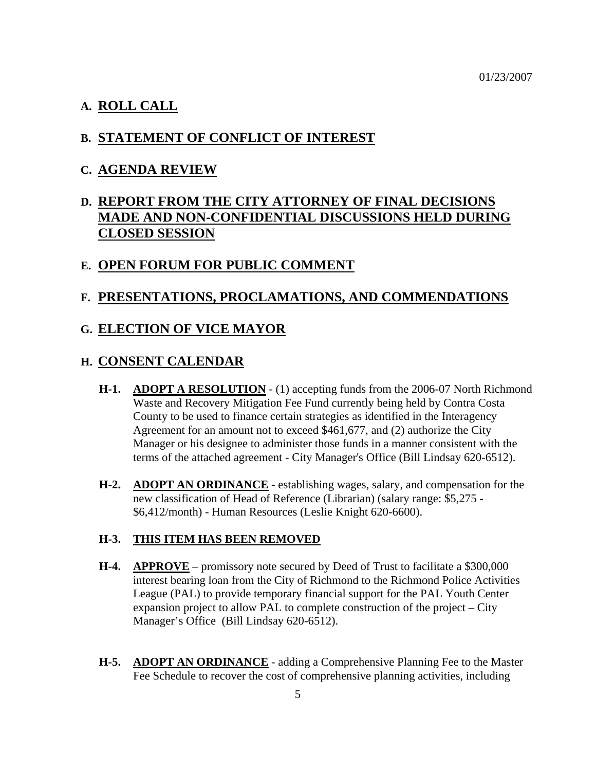#### **A. ROLL CALL**

#### **B. STATEMENT OF CONFLICT OF INTEREST**

#### **C. AGENDA REVIEW**

## **D. REPORT FROM THE CITY ATTORNEY OF FINAL DECISIONS MADE AND NON-CONFIDENTIAL DISCUSSIONS HELD DURING CLOSED SESSION**

#### **E. OPEN FORUM FOR PUBLIC COMMENT**

### **F. PRESENTATIONS, PROCLAMATIONS, AND COMMENDATIONS**

#### **G. ELECTION OF VICE MAYOR**

#### **H. CONSENT CALENDAR**

- **H-1. ADOPT A RESOLUTION** (1) accepting funds from the 2006-07 North Richmond Waste and Recovery Mitigation Fee Fund currently being held by Contra Costa County to be used to finance certain strategies as identified in the Interagency Agreement for an amount not to exceed \$461,677, and (2) authorize the City Manager or his designee to administer those funds in a manner consistent with the terms of the attached agreement - City Manager's Office (Bill Lindsay 620-6512).
- **H-2. ADOPT AN ORDINANCE** establishing wages, salary, and compensation for the new classification of Head of Reference (Librarian) (salary range: \$5,275 - \$6,412/month) - Human Resources (Leslie Knight 620-6600).

#### **H-3. THIS ITEM HAS BEEN REMOVED**

- **H-4. APPROVE** promissory note secured by Deed of Trust to facilitate a \$300,000 interest bearing loan from the City of Richmond to the Richmond Police Activities League (PAL) to provide temporary financial support for the PAL Youth Center expansion project to allow PAL to complete construction of the project – City Manager's Office (Bill Lindsay 620-6512).
- **H-5. ADOPT AN ORDINANCE** adding a Comprehensive Planning Fee to the Master Fee Schedule to recover the cost of comprehensive planning activities, including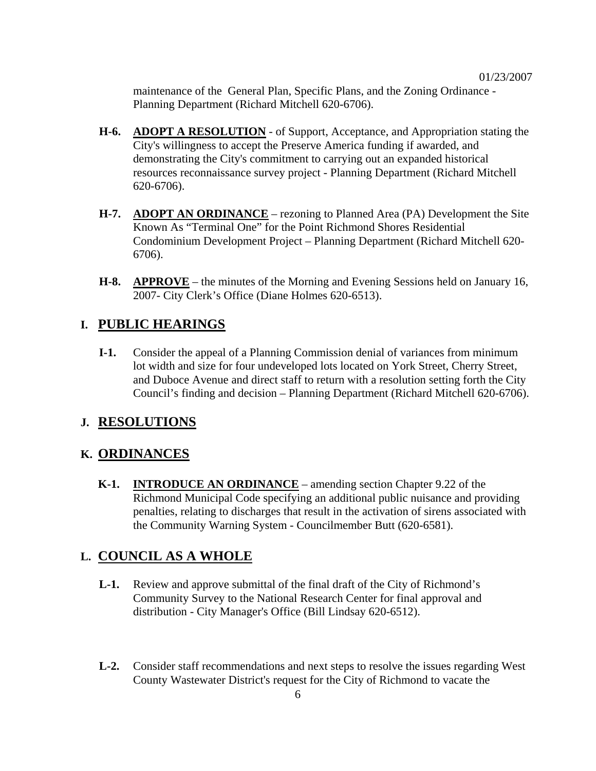maintenance of the General Plan, Specific Plans, and the Zoning Ordinance - Planning Department (Richard Mitchell 620-6706).

- **H-6. ADOPT A RESOLUTION** of Support, Acceptance, and Appropriation stating the City's willingness to accept the Preserve America funding if awarded, and demonstrating the City's commitment to carrying out an expanded historical resources reconnaissance survey project - Planning Department (Richard Mitchell 620-6706).
- **H-7. ADOPT AN ORDINANCE** rezoning to Planned Area (PA) Development the Site Known As "Terminal One" for the Point Richmond Shores Residential Condominium Development Project – Planning Department (Richard Mitchell 620- 6706).
- **H-8. APPROVE** the minutes of the Morning and Evening Sessions held on January 16, 2007- City Clerk's Office (Diane Holmes 620-6513).

#### **I. PUBLIC HEARINGS**

**I-1.** Consider the appeal of a Planning Commission denial of variances from minimum lot width and size for four undeveloped lots located on York Street, Cherry Street, and Duboce Avenue and direct staff to return with a resolution setting forth the City Council's finding and decision – Planning Department (Richard Mitchell 620-6706).

#### **J. RESOLUTIONS**

#### **K. ORDINANCES**

**K-1. INTRODUCE AN ORDINANCE** – amending section Chapter 9.22 of the Richmond Municipal Code specifying an additional public nuisance and providing penalties, relating to discharges that result in the activation of sirens associated with the Community Warning System - Councilmember Butt (620-6581).

### **L. COUNCIL AS A WHOLE**

- **L-1.** Review and approve submittal of the final draft of the City of Richmond's Community Survey to the National Research Center for final approval and distribution - City Manager's Office (Bill Lindsay 620-6512).
- **L-2.** Consider staff recommendations and next steps to resolve the issues regarding West County Wastewater District's request for the City of Richmond to vacate the